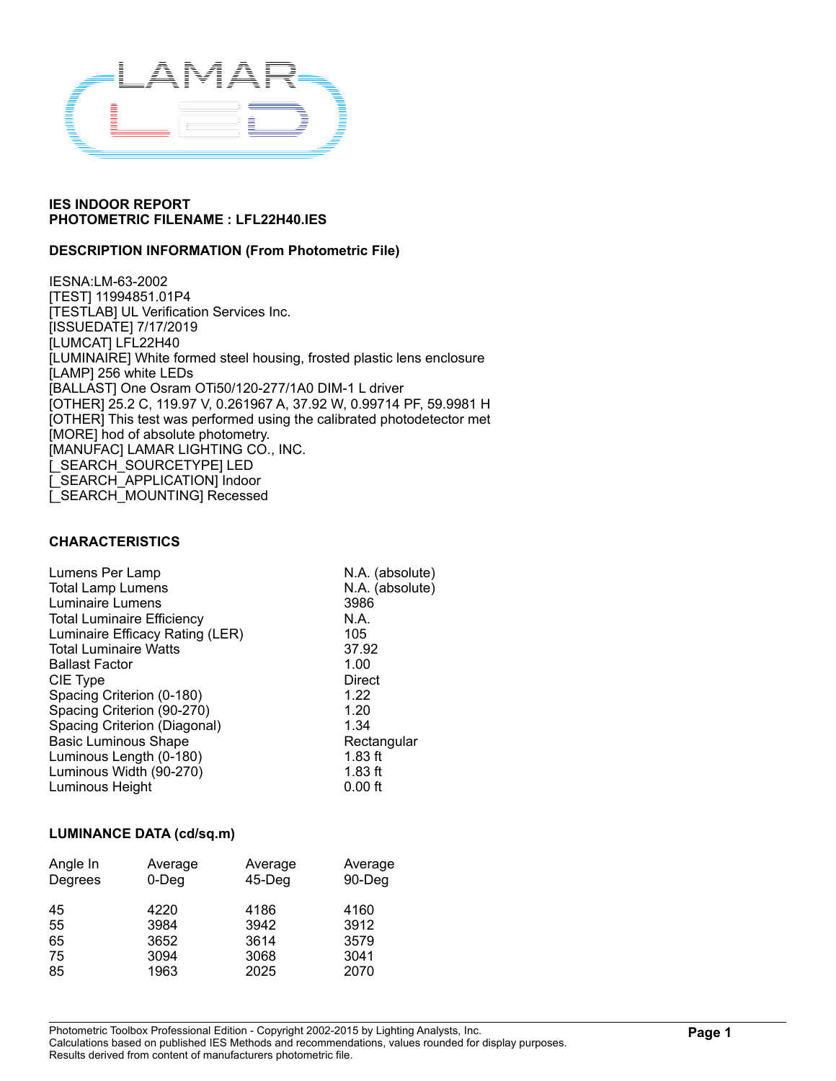

### **DESCRIPTION INFORMATION (From Photometric File)**

IESNA:LM-63-2002 [TEST] 11994851.01P4 [TESTLAB] UL Verification Services Inc. [ISSUEDATE] 7/17/2019 [LUMCAT] LFL22H40 [LUMINAIRE] White formed steel housing, frosted plastic lens enclosure [LAMP] 256 white LEDs [BALLAST] One Osram OTi50/120-277/1A0 DIM-1 L driver [OTHER] 25.2 C, 119.97 V, 0.261967 A, 37.92 W, 0.99714 PF, 59.9981 H [OTHER] This test was performed using the calibrated photodetector met [MORE] hod of absolute photometry. [MANUFAC] LAMAR LIGHTING CO., INC. [\_SEARCH\_SOURCETYPE] LED [\_SEARCH\_APPLICATION] Indoor [\_SEARCH\_MOUNTING] Recessed

#### **CHARACTERISTICS**

| Lumens Per Lamp                   | N.A. (absolute) |
|-----------------------------------|-----------------|
| <b>Total Lamp Lumens</b>          | N.A. (absolute) |
| Luminaire Lumens                  | 3986            |
| <b>Total Luminaire Efficiency</b> | N.A.            |
| Luminaire Efficacy Rating (LER)   | 105             |
| <b>Total Luminaire Watts</b>      | 37.92           |
| <b>Ballast Factor</b>             | 1.00            |
| CIE Type                          | Direct          |
| Spacing Criterion (0-180)         | 1.22            |
| Spacing Criterion (90-270)        | 1.20            |
| Spacing Criterion (Diagonal)      | 1.34            |
| <b>Basic Luminous Shape</b>       | Rectangular     |
| Luminous Length (0-180)           | $1.83$ ft       |
| Luminous Width (90-270)           | $1.83$ ft       |
| Luminous Height                   | $0.00$ ft       |
|                                   |                 |

#### **LUMINANCE DATA (cd/sq.m)**

| Angle In | Average  | Average | Average |
|----------|----------|---------|---------|
| Degrees  | $0$ -Deg | 45-Deg  | 90-Deg  |
| 45       | 4220     | 4186    | 4160    |
| 55       | 3984     | 3942    | 3912    |
| 65       | 3652     | 3614    | 3579    |
| 75       | 3094     | 3068    | 3041    |
| 85       | 1963     | 2025    | 2070    |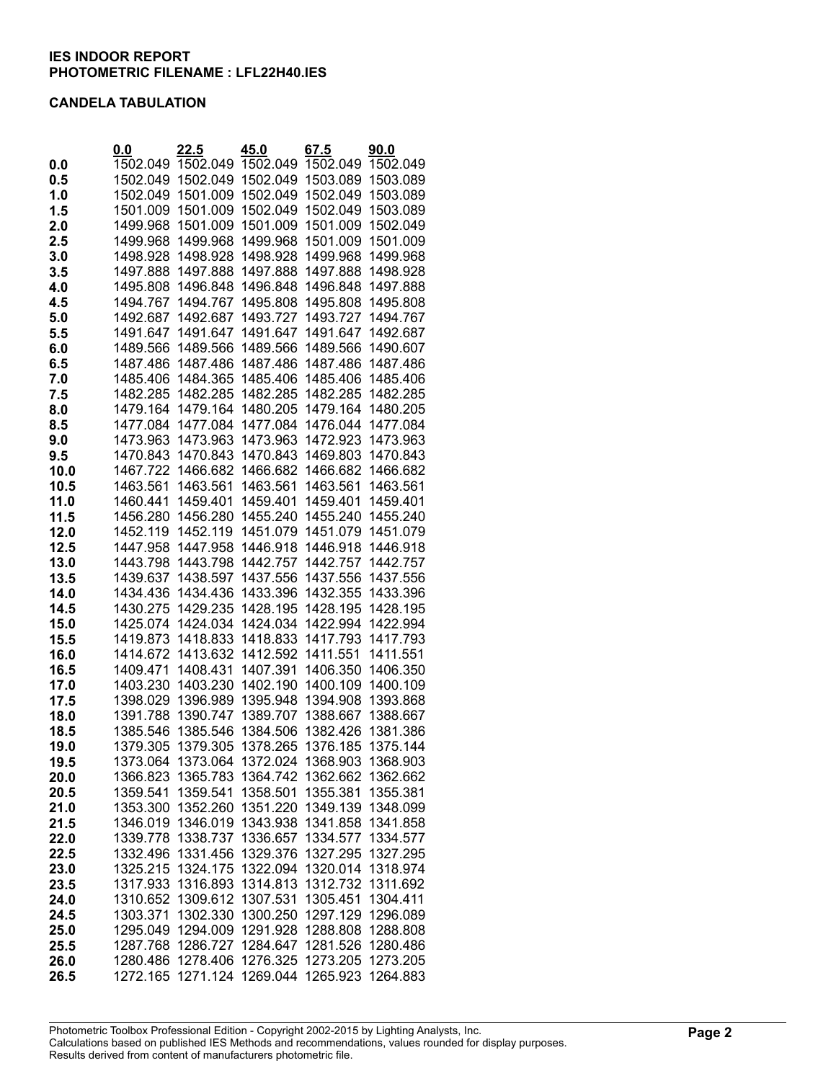#### **CANDELA TABULATION**

|      | 0.0      | 22.5     | 45.0     | 67.5     | 90.0     |
|------|----------|----------|----------|----------|----------|
| 0.0  | 1502.049 | 1502.049 | 1502.049 | 1502.049 | 1502.049 |
| 0.5  | 1502.049 | 1502.049 | 1502.049 | 1503.089 | 1503.089 |
| 1.0  | 1502.049 | 1501.009 | 1502.049 | 1502.049 | 1503.089 |
| 1.5  | 1501.009 | 1501.009 | 1502.049 | 1502.049 | 1503.089 |
| 2.0  | 1499.968 | 1501.009 | 1501.009 | 1501.009 | 1502.049 |
| 2.5  | 1499.968 | 1499.968 | 1499.968 | 1501.009 | 1501.009 |
| 3.0  | 1498.928 | 1498.928 | 1498.928 | 1499.968 | 1499.968 |
| 3.5  | 1497.888 | 1497.888 | 1497.888 | 1497.888 | 1498.928 |
| 4.0  | 1495.808 | 1496.848 | 1496.848 | 1496.848 | 1497.888 |
| 4.5  | 1494.767 | 1494.767 | 1495.808 | 1495.808 | 1495.808 |
| 5.0  | 1492.687 | 1492.687 | 1493.727 | 1493.727 | 1494.767 |
| 5.5  | 1491.647 | 1491.647 | 1491.647 | 1491.647 | 1492.687 |
| 6.0  | 1489.566 | 1489.566 | 1489.566 | 1489.566 | 1490.607 |
| 6.5  | 1487.486 | 1487.486 | 1487.486 | 1487.486 | 1487.486 |
| 7.0  | 1485.406 | 1484.365 | 1485.406 | 1485.406 | 1485.406 |
| 7.5  | 1482.285 | 1482.285 | 1482.285 | 1482.285 | 1482.285 |
| 8.0  | 1479.164 | 1479.164 | 1480.205 | 1479.164 | 1480.205 |
| 8.5  | 1477.084 | 1477.084 | 1477.084 | 1476.044 | 1477.084 |
| 9.0  | 1473.963 | 1473.963 | 1473.963 | 1472.923 | 1473.963 |
| 9.5  | 1470.843 | 1470.843 | 1470.843 | 1469.803 | 1470.843 |
| 10.0 | 1467.722 | 1466.682 | 1466.682 | 1466.682 | 1466.682 |
| 10.5 | 1463.561 | 1463.561 | 1463.561 | 1463.561 | 1463.561 |
| 11.0 | 1460.441 | 1459.401 | 1459.401 | 1459.401 | 1459.401 |
| 11.5 | 1456.280 | 1456.280 | 1455.240 | 1455.240 | 1455.240 |
| 12.0 | 1452.119 | 1452.119 | 1451.079 | 1451.079 | 1451.079 |
| 12.5 | 1447.958 | 1447.958 | 1446.918 | 1446.918 | 1446.918 |
| 13.0 | 1443.798 | 1443.798 | 1442.757 | 1442.757 | 1442.757 |
| 13.5 | 1439.637 | 1438.597 | 1437.556 | 1437.556 | 1437.556 |
| 14.0 | 1434.436 | 1434.436 | 1433.396 | 1432.355 | 1433.396 |
| 14.5 | 1430.275 | 1429.235 | 1428.195 | 1428.195 | 1428.195 |
| 15.0 | 1425.074 | 1424.034 | 1424.034 | 1422.994 | 1422.994 |
| 15.5 | 1419.873 | 1418.833 | 1418.833 | 1417.793 | 1417.793 |
| 16.0 | 1414.672 | 1413.632 | 1412.592 | 1411.551 | 1411.551 |
| 16.5 | 1409.471 | 1408.431 | 1407.391 | 1406.350 | 1406.350 |
| 17.0 | 1403.230 | 1403.230 | 1402.190 | 1400.109 | 1400.109 |
| 17.5 | 1398.029 | 1396.989 | 1395.948 | 1394.908 | 1393.868 |
| 18.0 | 1391.788 | 1390.747 | 1389.707 | 1388.667 | 1388.667 |
| 18.5 | 1385.546 | 1385.546 | 1384.506 | 1382.426 | 1381.386 |
| 19.0 | 1379.305 | 1379.305 | 1378.265 | 1376.185 | 1375.144 |
| 19.5 | 1373.064 | 1373.064 | 1372.024 | 1368.903 | 1368.903 |
| 20.0 | 1366.823 | 1365.783 | 1364.742 | 1362.662 | 1362.662 |
| 20.5 | 1359.541 | 1359.541 | 1358.501 | 1355.381 | 1355.381 |
| 21.0 | 1353.300 | 1352.260 | 1351.220 | 1349.139 | 1348.099 |
| 21.5 | 1346.019 | 1346.019 | 1343.938 | 1341.858 | 1341.858 |
| 22.0 | 1339.778 | 1338.737 | 1336.657 | 1334.577 | 1334.577 |
| 22.5 | 1332.496 | 1331.456 | 1329.376 | 1327.295 | 1327.295 |
| 23.0 | 1325.215 | 1324.175 | 1322.094 | 1320.014 | 1318.974 |
| 23.5 | 1317.933 | 1316.893 | 1314.813 | 1312.732 | 1311.692 |
| 24.0 | 1310.652 | 1309.612 | 1307.531 | 1305.451 | 1304.411 |
| 24.5 | 1303.371 | 1302.330 | 1300.250 | 1297.129 | 1296.089 |
| 25.0 | 1295.049 | 1294.009 | 1291.928 | 1288.808 | 1288.808 |
| 25.5 | 1287.768 | 1286.727 | 1284.647 | 1281.526 | 1280.486 |
| 26.0 | 1280.486 | 1278.406 | 1276.325 | 1273.205 | 1273.205 |
| 26.5 | 1272.165 | 1271.124 | 1269.044 | 1265.923 | 1264.883 |
|      |          |          |          |          |          |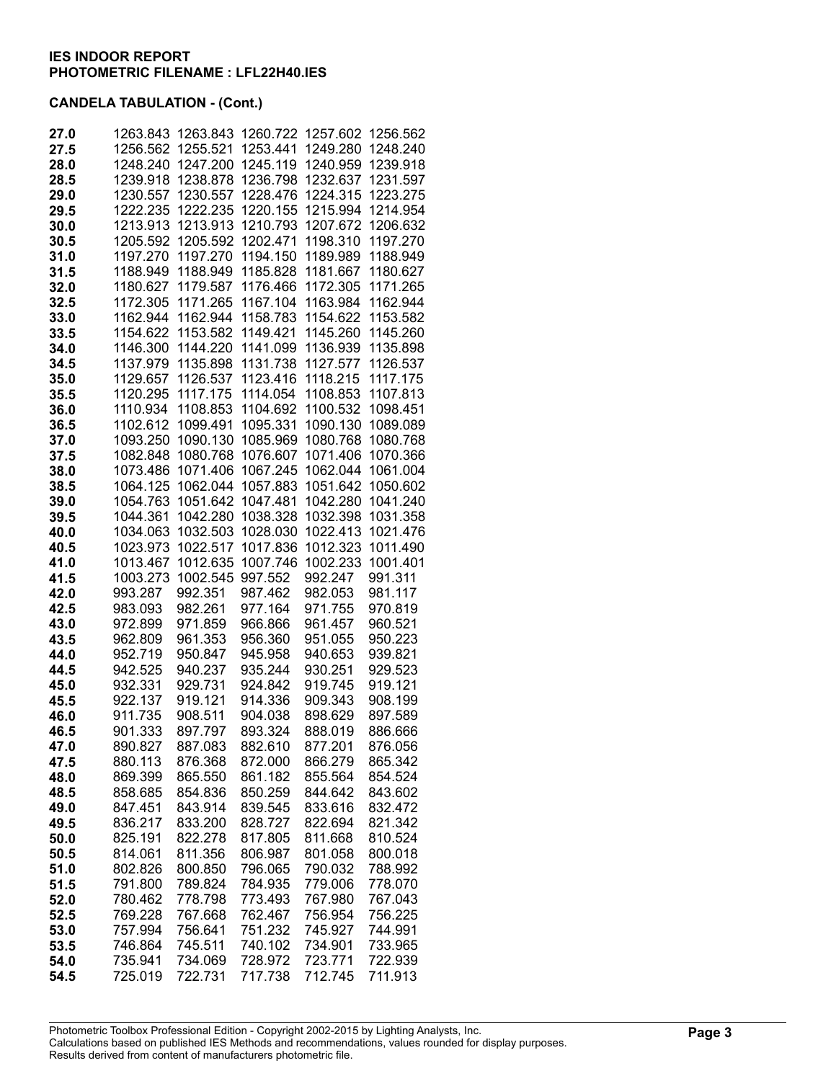| 27.0         | 1263.843             | 1263.843             | 1260.722             | 1257.602             | 1256.562             |
|--------------|----------------------|----------------------|----------------------|----------------------|----------------------|
| 27.5         | 1256.562             | 1255.521             | 1253.441             | 1249.280             | 1248.240             |
| 28.0         | 1248.240             | 1247.200             | 1245.119             | 1240.959             | 1239.918             |
| 28.5         | 1239.918             | 1238.878             | 1236.798             | 1232.637             | 1231.597             |
| 29.0         | 1230.557             | 1230.557             | 1228.476             | 1224.315             | 1223.275             |
| 29.5         | 1222.235             | 1222.235             | 1220.155             | 1215.994             | 1214.954             |
| 30.0         | 1213.913             | 1213.913             | 1210.793             | 1207.672             | 1206.632             |
| 30.5         | 1205.592             | 1205.592             | 1202.471             | 1198.310             | 1197.270             |
| 31.0<br>31.5 | 1197.270<br>1188.949 | 1197.270<br>1188.949 | 1194.150<br>1185.828 | 1189.989<br>1181.667 | 1188.949<br>1180.627 |
| 32.0         | 1180.627             | 1179.587             | 1176.466             | 1172.305             | 1171.265             |
| 32.5         | 1172.305             | 1171.265             | 1167.104             | 1163.984             | 1162.944             |
| 33.0         | 1162.944             | 1162.944             | 1158.783             | 1154.622             | 1153.582             |
| 33.5         | 1154.622             | 1153.582             | 1149.421             | 1145.260             | 1145.260             |
| 34.0         | 1146.300             | 1144.220             | 1141.099             | 1136.939             | 1135.898             |
| 34.5         | 1137.979             | 1135.898             | 1131.738             | 1127.577             | 1126.537             |
| 35.0         | 1129.657             | 1126.537             | 1123.416             | 1118.215             | 1117.175             |
| 35.5         | 1120.295             | 1117.175             | 1114.054             | 1108.853             | 1107.813             |
| 36.0         | 1110.934             | 1108.853             | 1104.692             | 1100.532             | 1098.451             |
| 36.5         | 1102.612             | 1099.491             | 1095.331             | 1090.130             | 1089.089             |
| 37.0         | 1093.250             | 1090.130             | 1085.969             | 1080.768             | 1080.768             |
| 37.5         | 1082.848             | 1080.768             | 1076.607             | 1071.406             | 1070.366             |
| 38.0         | 1073.486             | 1071.406             | 1067.245             | 1062.044             | 1061.004             |
| 38.5<br>39.0 | 1064.125<br>1054.763 | 1062.044<br>1051.642 | 1057.883<br>1047.481 | 1051.642<br>1042.280 | 1050.602<br>1041.240 |
| 39.5         | 1044.361             | 1042.280             | 1038.328             | 1032.398             | 1031.358             |
| 40.0         | 1034.063             | 1032.503             | 1028.030             | 1022.413             | 1021.476             |
| 40.5         | 1023.973             | 1022.517             | 1017.836             | 1012.323             | 1011.490             |
| 41.0         | 1013.467             | 1012.635             | 1007.746             | 1002.233             | 1001.401             |
| 41.5         | 1003.273             | 1002.545             | 997.552              | 992.247              | 991.311              |
| 42.0         | 993.287              | 992.351              | 987.462              | 982.053              | 981.117              |
| 42.5         | 983.093              | 982.261              | 977.164              | 971.755              | 970.819              |
| 43.0         | 972.899              | 971.859              | 966.866              | 961.457              | 960.521              |
| 43.5         | 962.809              | 961.353              | 956.360              | 951.055              | 950.223              |
| 44.0         | 952.719              | 950.847              | 945.958              | 940.653              | 939.821              |
| 44.5         | 942.525              | 940.237              | 935.244              | 930.251              | 929.523              |
| 45.0         | 932.331<br>922.137   | 929.731<br>919.121   | 924.842<br>914.336   | 919.745<br>909.343   | 919.121<br>908.199   |
| 45.5<br>46.0 | 911.735              | 908.511              | 904.038              | 898.629              | 897.589              |
| 46.5         | 901.333              | 897.797              | 893.324              | 888.019              | 886.666              |
| 47.0         | 890.827              | 887.083              | 882.610              | 877.201              | 876.056              |
| 47.5         | 880.113              | 876.368              | 872.000              | 866.279              | 865.342              |
| 48.0         | 869.399              | 865.550              | 861.182              | 855.564              | 854.524              |
| 48.5         | 858.685              | 854.836              | 850.259              | 844.642              | 843.602              |
| 49.0         | 847.451              | 843.914              | 839.545              | 833.616              | 832.472              |
| 49.5         | 836.217              | 833.200              | 828.727              | 822.694              | 821.342              |
| 50.0         | 825.191              | 822.278              | 817.805              | 811.668              | 810.524              |
| 50.5         | 814.061              | 811.356              | 806.987              | 801.058              | 800.018              |
| 51.0         | 802.826              | 800.850              | 796.065              | 790.032              | 788.992<br>778.070   |
| 51.5         | 791.800<br>780.462   | 789.824<br>778.798   | 784.935              | 779.006              |                      |
| 52.0<br>52.5 | 769.228              | 767.668              | 773.493<br>762.467   | 767.980<br>756.954   | 767.043<br>756.225   |
| 53.0         | 757.994              | 756.641              | 751.232              | 745.927              | 744.991              |
| 53.5         | 746.864              | 745.511              | 740.102              | 734.901              | 733.965              |
| 54.0         | 735.941              | 734.069              | 728.972              | 723.771              | 722.939              |
| 54.5         | 725.019              | 722.731              | 717.738              | 712.745              | 711.913              |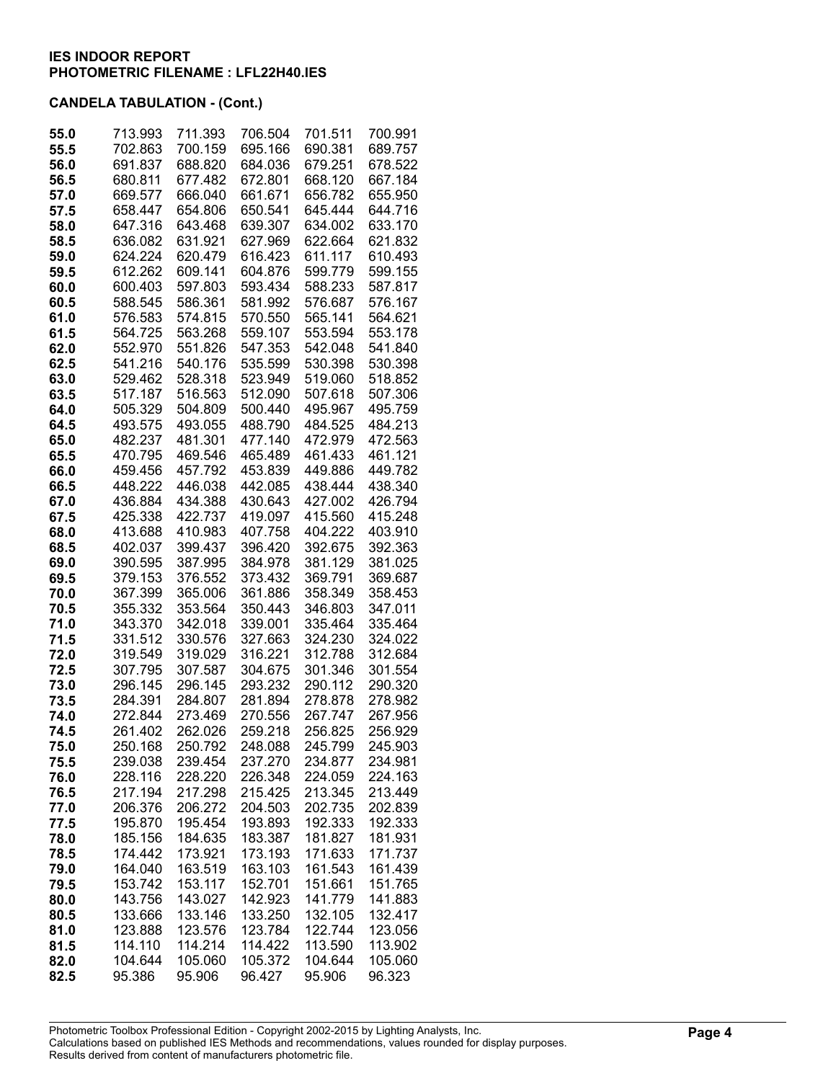| 55.0         | 713.993            | 711.393            | 706.504            | 701.511            | 700.991            |
|--------------|--------------------|--------------------|--------------------|--------------------|--------------------|
| 55.5         | 702.863            | 700.159            | 695.166            | 690.381            | 689.757            |
| 56.0         | 691.837            | 688.820            | 684.036            | 679.251            | 678.522            |
| 56.5         | 680.811            | 677.482            | 672.801            | 668.120            | 667.184            |
| 57.0         | 669.577            | 666.040            | 661.671            | 656.782            | 655.950            |
| 57.5         | 658.447            | 654.806            | 650.541            | 645.444            | 644.716            |
| 58.0         | 647.316            | 643.468            | 639.307            | 634.002            | 633.170            |
| 58.5         | 636.082            | 631.921            | 627.969            | 622.664            | 621.832            |
| 59.0         | 624.224            | 620.479            | 616.423            | 611.117            | 610.493            |
| 59.5         | 612.262            | 609.141            | 604.876            | 599.779            | 599.155            |
| 60.0         | 600.403            | 597.803            | 593.434            | 588.233            | 587.817            |
| 60.5         | 588.545            | 586.361            | 581.992            | 576.687            | 576.167            |
| 61.0         | 576.583            | 574.815            | 570.550            | 565.141            | 564.621            |
| 61.5         | 564.725            | 563.268            | 559.107            | 553.594            | 553.178            |
| 62.0         | 552.970            | 551.826            | 547.353            | 542.048            | 541.840            |
| 62.5         | 541.216            | 540.176            | 535.599            | 530.398            | 530.398            |
| 63.0         | 529.462            | 528.318            | 523.949            | 519.060            | 518.852            |
| 63.5<br>64.0 | 517.187<br>505.329 | 516.563<br>504.809 | 512.090<br>500.440 | 507.618            | 507.306<br>495.759 |
| 64.5         | 493.575            | 493.055            | 488.790            | 495.967<br>484.525 | 484.213            |
| 65.0         | 482.237            | 481.301            | 477.140            | 472.979            | 472.563            |
| 65.5         | 470.795            | 469.546            | 465.489            | 461.433            | 461.121            |
| 66.0         | 459.456            | 457.792            | 453.839            | 449.886            | 449.782            |
| 66.5         | 448.222            | 446.038            | 442.085            | 438.444            | 438.340            |
| 67.0         | 436.884            | 434.388            | 430.643            | 427.002            | 426.794            |
| 67.5         | 425.338            | 422.737            | 419.097            | 415.560            | 415.248            |
| 68.0         | 413.688            | 410.983            | 407.758            | 404.222            | 403.910            |
| 68.5         | 402.037            | 399.437            | 396.420            | 392.675            | 392.363            |
| 69.0         | 390.595            | 387.995            | 384.978            | 381.129            | 381.025            |
| 69.5         | 379.153            | 376.552            | 373.432            | 369.791            | 369.687            |
| 70.0         | 367.399            | 365.006            | 361.886            | 358.349            | 358.453            |
| 70.5         | 355.332            | 353.564            | 350.443            | 346.803            | 347.011            |
| 71.0         | 343.370            | 342.018            | 339.001            | 335.464            | 335.464            |
| 71.5<br>72.0 | 331.512<br>319.549 | 330.576            | 327.663<br>316.221 | 324.230<br>312.788 | 324.022<br>312.684 |
| 72.5         | 307.795            | 319.029<br>307.587 | 304.675            | 301.346            | 301.554            |
| 73.0         | 296.145            | 296.145            | 293.232            | 290.112            | 290.320            |
| 73.5         | 284.391            | 284.807            | 281.894            | 278.878            | 278.982            |
| 74.0         | 272.844            | 273.469            | 270.556            | 267.747            | 267.956            |
| 74.5         | 261.402            | 262.026            | 259.218            | 256.825            | 256.929            |
| 75.0         | 250.168            | 250.792            | 248.088            | 245.799            | 245.903            |
| 75.5         | 239.038            | 239.454            | 237.270            | 234.877            | 234.981            |
| 76.0         | 228.116            | 228.220            | 226.348            | 224.059            | 224.163            |
| 76.5         | 217.194            | 217.298            | 215.425            | 213.345            | 213.449            |
| 77.0         | 206.376            | 206.272            | 204.503            | 202.735            | 202.839            |
| 77.5         | 195.870            | 195.454            | 193.893            | 192.333            | 192.333            |
| 78.0         | 185.156            | 184.635            | 183.387            | 181.827            | 181.931            |
| 78.5<br>79.0 | 174.442<br>164.040 | 173.921<br>163.519 | 173.193<br>163.103 | 171.633<br>161.543 | 171.737<br>161.439 |
| 79.5         | 153.742            | 153.117            | 152.701            | 151.661            | 151.765            |
| 80.0         | 143.756            | 143.027            | 142.923            | 141.779            | 141.883            |
| 80.5         | 133.666            | 133.146            | 133.250            | 132.105            | 132.417            |
| 81.0         | 123.888            | 123.576            | 123.784            | 122.744            | 123.056            |
| 81.5         | 114.110            | 114.214            | 114.422            | 113.590            | 113.902            |
| 82.0         | 104.644            | 105.060            | 105.372            | 104.644            | 105.060            |
| 82.5         | 95.386             | 95.906             | 96.427             | 95.906             | 96.323             |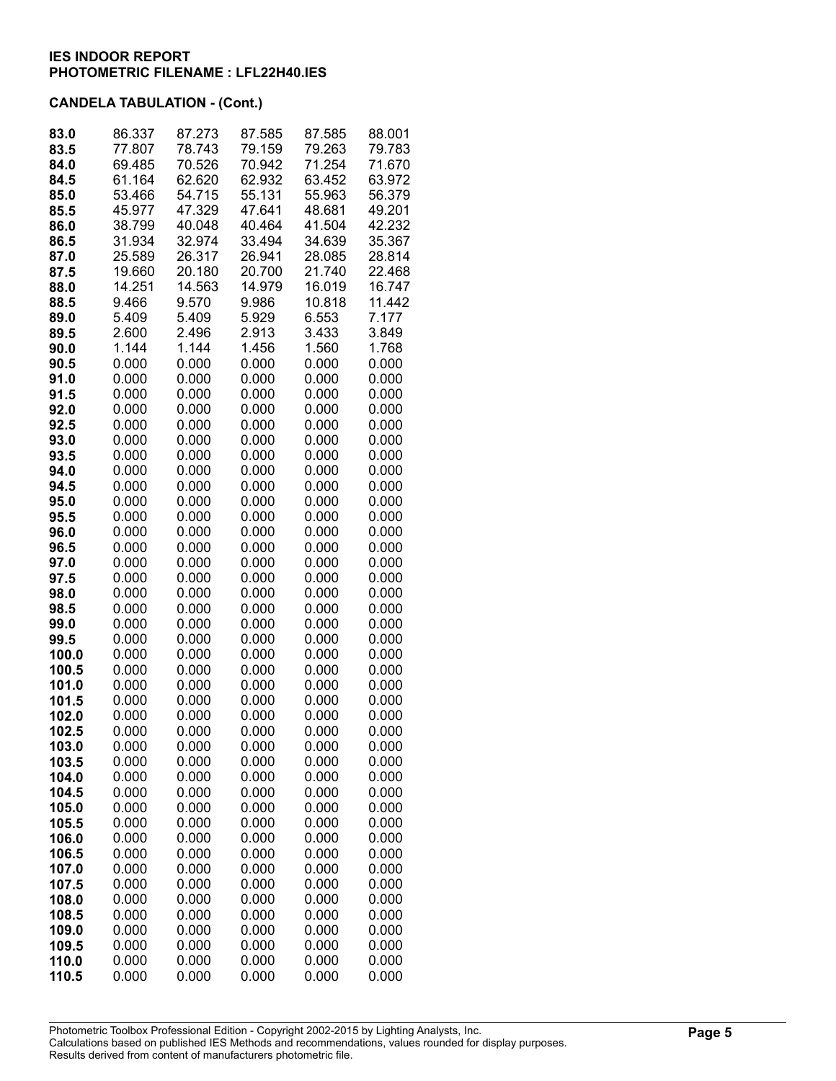| 83.0           | 86.337         | 87.273         | 87.585         | 87.585         | 88.001         |
|----------------|----------------|----------------|----------------|----------------|----------------|
| 83.5           | 77.807         | 78.743         | 79.159         | 79.263         | 79.783         |
| 84.0           | 69.485         | 70.526         | 70.942         | 71.254         | 71.670         |
| 84.5           | 61.164         | 62.620         | 62.932         | 63.452         | 63.972         |
| 85.0           | 53.466         | 54.715         | 55.131         | 55.963         | 56.379         |
| 85.5           | 45.977         | 47.329         | 47.641         | 48.681         | 49.201         |
| 86.0           | 38.799         | 40.048         | 40.464         | 41.504         | 42.232         |
| 86.5           | 31.934         | 32.974         | 33.494         | 34.639         | 35.367         |
| 87.0           | 25.589         | 26.317         | 26.941         | 28.085         | 28.814         |
| 87.5           | 19.660         | 20.180         | 20.700         | 21.740         | 22.468         |
| 88.0           | 14.251         | 14.563         | 14.979         | 16.019         | 16.747         |
| 88.5           | 9.466          | 9.570          | 9.986          | 10.818         | 11.442         |
| 89.0           | 5.409          | 5.409          | 5.929          | 6.553          | 7.177          |
| 89.5           | 2.600          | 2.496          | 2.913          | 3.433          | 3.849          |
| 90.0           | 1.144          | 1.144          | 1.456          | 1.560          | 1.768          |
| 90.5           | 0.000          | 0.000          | 0.000          | 0.000          | 0.000          |
| 91.0           | 0.000          | 0.000          | 0.000          | 0.000          | 0.000          |
| 91.5           | 0.000          | 0.000          | 0.000          | 0.000          | 0.000          |
| 92.0           | 0.000          | 0.000          | 0.000          | 0.000          | 0.000          |
| 92.5           | 0.000          | 0.000          | 0.000          | 0.000          | 0.000          |
| 93.0           | 0.000          | 0.000          | 0.000          | 0.000          | 0.000          |
| 93.5           | 0.000          | 0.000          | 0.000          | 0.000          | 0.000          |
| 94.0           | 0.000          | 0.000          | 0.000          | 0.000          | 0.000          |
| 94.5           | 0.000          | 0.000          | 0.000          | 0.000          | 0.000          |
| 95.0           | 0.000          | 0.000          | 0.000          | 0.000          | 0.000          |
| 95.5           | 0.000          | 0.000          | 0.000          | 0.000          | 0.000          |
| 96.0           | 0.000          | 0.000          | 0.000          | 0.000          | 0.000          |
| 96.5           | 0.000          | 0.000          | 0.000          | 0.000          | 0.000          |
| 97.0           | 0.000          | 0.000          | 0.000          | 0.000          | 0.000          |
| 97.5           | 0.000          | 0.000          | 0.000          | 0.000          | 0.000          |
| 98.0           | 0.000          | 0.000          | 0.000          | 0.000          | 0.000          |
| 98.5           | 0.000          | 0.000          | 0.000          | 0.000          | 0.000          |
| 99.0           | 0.000          | 0.000          | 0.000          | 0.000          | 0.000          |
| 99.5           | 0.000          | 0.000          | 0.000          | 0.000          | 0.000          |
| 100.0          | 0.000          | 0.000          | 0.000          | 0.000          | 0.000          |
| 100.5          | 0.000          | 0.000          | 0.000          | 0.000          | 0.000          |
| 101.0          | 0.000          | 0.000          | 0.000          | 0.000          | 0.000          |
| 101.5          | 0.000          | 0.000          | 0.000          | 0.000          | 0.000          |
| 102.0          | 0.000          | 0.000          | 0.000          | 0.000          | 0.000          |
| 102.5          | 0.000          | 0.000          | 0.000          | 0.000          | 0.000          |
| 103.0          | 0.000          | 0.000          | 0.000          | 0.000          | 0.000          |
| 103.5          | 0.000          | 0.000          | 0.000          | 0.000          | 0.000          |
| 104.0          | 0.000          | 0.000          | 0.000          | 0.000          | 0.000          |
| 104.5          | 0.000<br>0.000 | 0.000<br>0.000 | 0.000<br>0.000 | 0.000<br>0.000 | 0.000<br>0.000 |
| 105.0<br>105.5 | 0.000          | 0.000          | 0.000          | 0.000          | 0.000          |
|                | 0.000          | 0.000          | 0.000          | 0.000          | 0.000          |
| 106.0<br>106.5 | 0.000          | 0.000          | 0.000          | 0.000          | 0.000          |
| 107.0          | 0.000          | 0.000          | 0.000          | 0.000          | 0.000          |
| 107.5          | 0.000          | 0.000          | 0.000          | 0.000          | 0.000          |
| 108.0          | 0.000          | 0.000          | 0.000          | 0.000          | 0.000          |
| 108.5          | 0.000          | 0.000          | 0.000          | 0.000          | 0.000          |
| 109.0          | 0.000          | 0.000          | 0.000          | 0.000          | 0.000          |
| 109.5          | 0.000          | 0.000          | 0.000          | 0.000          | 0.000          |
| 110.0          | 0.000          | 0.000          | 0.000          | 0.000          | 0.000          |
| 110.5          | 0.000          | 0.000          | 0.000          | 0.000          | 0.000          |
|                |                |                |                |                |                |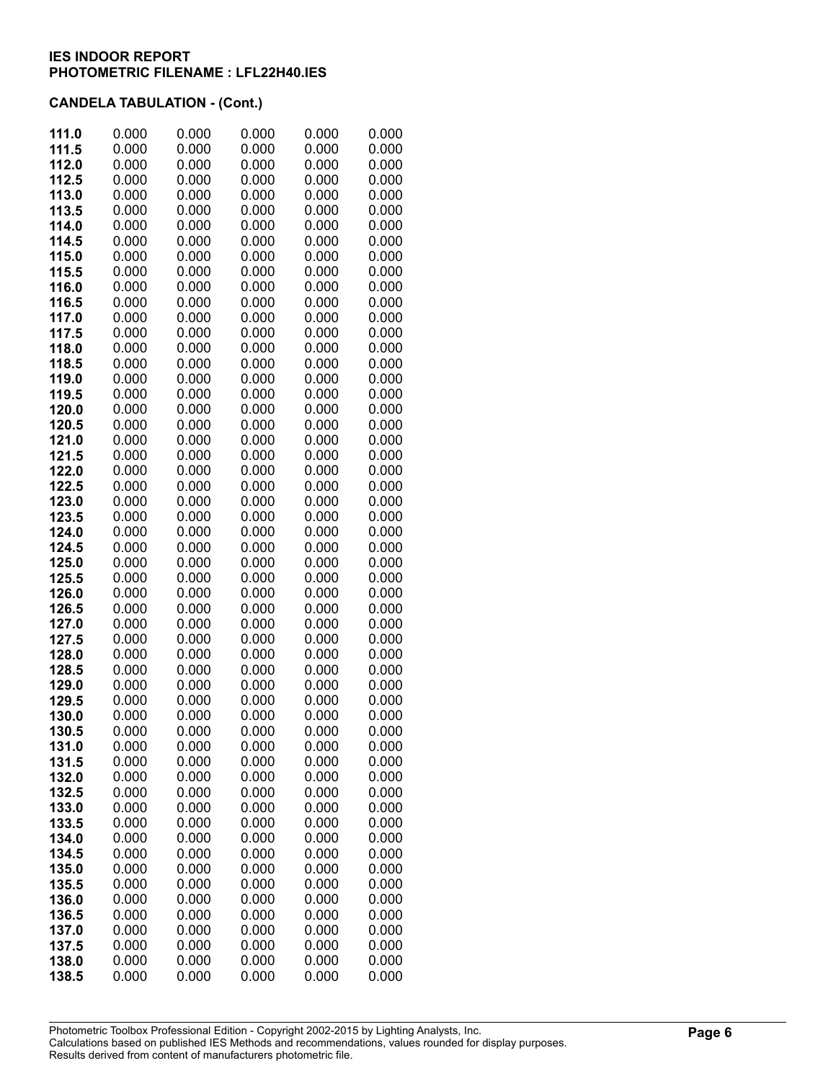| 111.0          | 0.000          | 0.000          | 0.000          | 0.000          | 0.000          |
|----------------|----------------|----------------|----------------|----------------|----------------|
| 111.5          | 0.000          | 0.000          | 0.000          | 0.000          | 0.000          |
| 112.0          | 0.000          | 0.000          | 0.000          | 0.000          | 0.000          |
| 112.5          | 0.000          | 0.000          | 0.000          | 0.000          | 0.000          |
| 113.0          | 0.000          | 0.000          | 0.000          | 0.000          | 0.000          |
| 113.5          | 0.000          | 0.000          | 0.000          | 0.000          | 0.000          |
| 114.0          | 0.000          | 0.000          | 0.000          | 0.000          | 0.000          |
| 114.5          | 0.000          | 0.000          | 0.000          | 0.000          | 0.000          |
| 115.0          | 0.000          | 0.000          | 0.000          | 0.000          | 0.000          |
| 115.5          | 0.000          | 0.000          | 0.000          | 0.000          | 0.000          |
| 116.0          | 0.000          | 0.000          | 0.000          | 0.000          | 0.000          |
| 116.5          | 0.000          | 0.000          | 0.000          | 0.000          | 0.000          |
| 117.0          | 0.000          | 0.000          | 0.000          | 0.000          | 0.000          |
| 117.5          | 0.000          | 0.000          | 0.000          | 0.000          | 0.000          |
| 118.0<br>118.5 | 0.000<br>0.000 | 0.000<br>0.000 | 0.000<br>0.000 | 0.000<br>0.000 | 0.000<br>0.000 |
| 119.0          | 0.000          | 0.000          | 0.000          | 0.000          | 0.000          |
| 119.5          | 0.000          | 0.000          | 0.000          | 0.000          | 0.000          |
| 120.0          | 0.000          | 0.000          | 0.000          | 0.000          | 0.000          |
| 120.5          | 0.000          | 0.000          | 0.000          | 0.000          | 0.000          |
| 121.0          | 0.000          | 0.000          | 0.000          | 0.000          | 0.000          |
| 121.5          | 0.000          | 0.000          | 0.000          | 0.000          | 0.000          |
| 122.0          | 0.000          | 0.000          | 0.000          | 0.000          | 0.000          |
| 122.5          | 0.000          | 0.000          | 0.000          | 0.000          | 0.000          |
| 123.0          | 0.000          | 0.000          | 0.000          | 0.000          | 0.000          |
| 123.5          | 0.000          | 0.000          | 0.000          | 0.000          | 0.000          |
| 124.0          | 0.000          | 0.000          | 0.000          | 0.000          | 0.000          |
| 124.5          | 0.000          | 0.000          | 0.000          | 0.000          | 0.000          |
| 125.0          | 0.000          | 0.000          | 0.000          | 0.000          | 0.000          |
| 125.5          | 0.000          | 0.000          | 0.000          | 0.000          | 0.000          |
| 126.0          | 0.000          | 0.000          | 0.000          | 0.000          | 0.000          |
| 126.5          | 0.000          | 0.000          | 0.000          | 0.000          | 0.000          |
| 127.0          | 0.000          | 0.000          | 0.000          | 0.000          | 0.000          |
| 127.5          | 0.000<br>0.000 | 0.000<br>0.000 | 0.000<br>0.000 | 0.000<br>0.000 | 0.000<br>0.000 |
| 128.0<br>128.5 | 0.000          | 0.000          | 0.000          | 0.000          | 0.000          |
| 129.0          | 0.000          | 0.000          | 0.000          | 0.000          | 0.000          |
| 129.5          | 0.000          | 0.000          | 0.000          | 0.000          | 0.000          |
| 130.0          | 0.000          | 0.000          | 0.000          | 0.000          | 0.000          |
| 130.5          | 0.000          | 0.000          | 0.000          | 0.000          | 0.000          |
| 131.0          | 0.000          | 0.000          | 0.000          | 0.000          | 0.000          |
| 131.5          | 0.000          | 0.000          | 0.000          | 0.000          | 0.000          |
| 132.0          | 0.000          | 0.000          | 0.000          | 0.000          | 0.000          |
| 132.5          | 0.000          | 0.000          | 0.000          | 0.000          | 0.000          |
| 133.0          | 0.000          | 0.000          | 0.000          | 0.000          | 0.000          |
| 133.5          | 0.000          | 0.000          | 0.000          | 0.000          | 0.000          |
| 134.0          | 0.000          | 0.000          | 0.000          | 0.000          | 0.000          |
| 134.5          | 0.000          | 0.000          | 0.000          | 0.000          | 0.000          |
| 135.0          | 0.000          | 0.000          | 0.000          | 0.000          | 0.000          |
| 135.5          | 0.000          | 0.000          | 0.000          | 0.000          | 0.000          |
| 136.0          | 0.000          | 0.000          | 0.000          | 0.000          | 0.000          |
| 136.5<br>137.0 | 0.000<br>0.000 | 0.000<br>0.000 | 0.000<br>0.000 | 0.000<br>0.000 | 0.000<br>0.000 |
| 137.5          | 0.000          | 0.000          | 0.000          | 0.000          | 0.000          |
| 138.0          | 0.000          | 0.000          | 0.000          | 0.000          | 0.000          |
| 138.5          | 0.000          | 0.000          | 0.000          | 0.000          | 0.000          |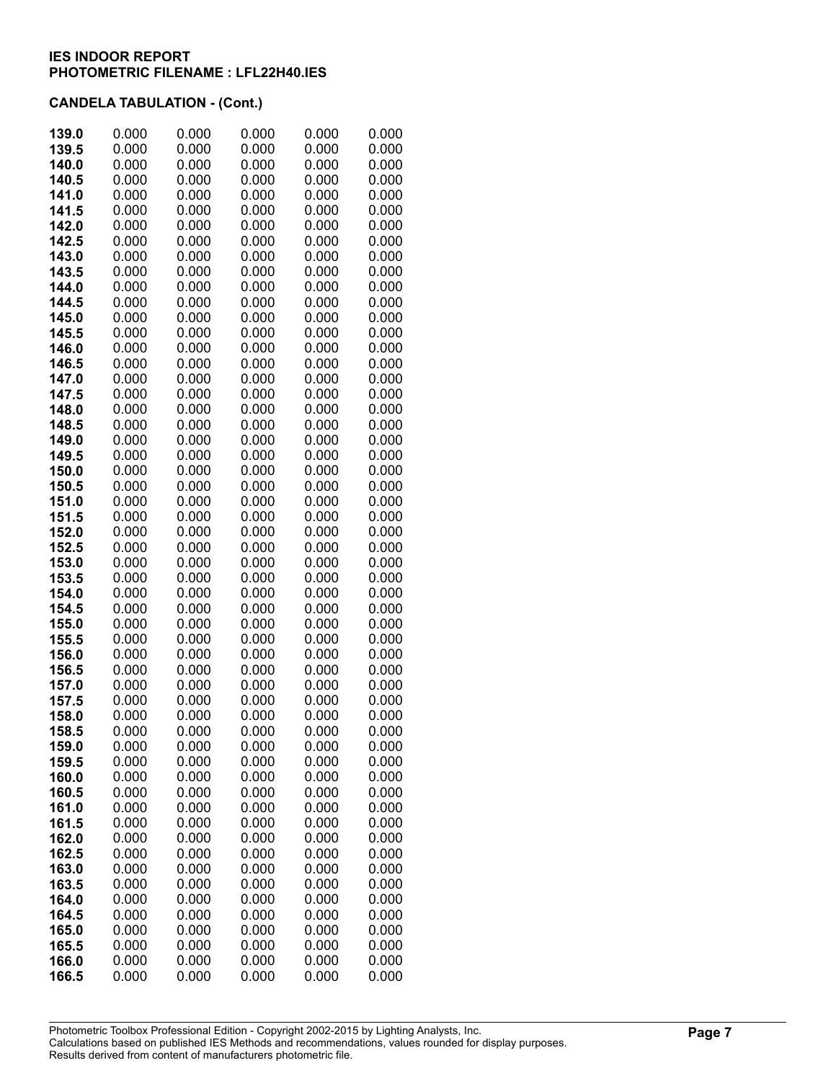| 139.0          | 0.000          | 0.000          | 0.000          | 0.000          | 0.000          |
|----------------|----------------|----------------|----------------|----------------|----------------|
| 139.5          | 0.000          | 0.000          | 0.000          | 0.000          | 0.000          |
| 140.0          | 0.000          | 0.000          | 0.000          | 0.000          | 0.000          |
| 140.5          | 0.000          | 0.000          | 0.000          | 0.000          | 0.000          |
| 141.0          | 0.000          | 0.000          | 0.000          | 0.000          | 0.000          |
| 141.5          | 0.000          | 0.000          | 0.000          | 0.000          | 0.000          |
| 142.0          | 0.000          | 0.000          | 0.000          | 0.000          | 0.000          |
| 142.5          | 0.000          | 0.000          | 0.000          | 0.000          | 0.000          |
| 143.0          | 0.000          | 0.000          | 0.000          | 0.000          | 0.000          |
| 143.5          | 0.000          | 0.000          | 0.000          | 0.000          | 0.000          |
| 144.0          | 0.000          | 0.000          | 0.000          | 0.000          | 0.000          |
| 144.5          | 0.000          | 0.000          | 0.000          | 0.000          | 0.000          |
| 145.0          | 0.000          | 0.000          | 0.000          | 0.000          | 0.000          |
| 145.5          | 0.000          | 0.000          | 0.000          | 0.000          | 0.000          |
| 146.0          | 0.000          | 0.000          | 0.000          | 0.000          | 0.000          |
| 146.5          | 0.000          | 0.000          | 0.000          | 0.000          | 0.000          |
| 147.0          | 0.000          | 0.000          | 0.000          | 0.000          | 0.000          |
| 147.5<br>148.0 | 0.000<br>0.000 | 0.000<br>0.000 | 0.000<br>0.000 | 0.000<br>0.000 | 0.000<br>0.000 |
| 148.5          | 0.000          | 0.000          | 0.000          | 0.000          | 0.000          |
| 149.0          | 0.000          | 0.000          | 0.000          | 0.000          | 0.000          |
| 149.5          | 0.000          | 0.000          | 0.000          | 0.000          | 0.000          |
| 150.0          | 0.000          | 0.000          | 0.000          | 0.000          | 0.000          |
| 150.5          | 0.000          | 0.000          | 0.000          | 0.000          | 0.000          |
| 151.0          | 0.000          | 0.000          | 0.000          | 0.000          | 0.000          |
| 151.5          | 0.000          | 0.000          | 0.000          | 0.000          | 0.000          |
| 152.0          | 0.000          | 0.000          | 0.000          | 0.000          | 0.000          |
| 152.5          | 0.000          | 0.000          | 0.000          | 0.000          | 0.000          |
| 153.0          | 0.000          | 0.000          | 0.000          | 0.000          | 0.000          |
| 153.5          | 0.000          | 0.000          | 0.000          | 0.000          | 0.000          |
| 154.0          | 0.000          | 0.000          | 0.000          | 0.000          | 0.000          |
| 154.5          | 0.000          | 0.000          | 0.000          | 0.000          | 0.000          |
| 155.0          | 0.000          | 0.000          | 0.000          | 0.000          | 0.000          |
| 155.5          | 0.000          | 0.000          | 0.000          | 0.000          | 0.000          |
| 156.0          | 0.000          | 0.000          | 0.000          | 0.000          | 0.000          |
| 156.5          | 0.000          | 0.000          | 0.000          | 0.000          | 0.000          |
| 157.0          | 0.000          | 0.000          | 0.000          | 0.000          | 0.000          |
| 157.5          | 0.000          | 0.000          | 0.000          | 0.000          | 0.000          |
| 158.0          | 0.000<br>0.000 | 0.000<br>0.000 | 0.000<br>0.000 | 0.000<br>0.000 | 0.000          |
| 158.5<br>159.0 | 0.000          | 0.000          | 0.000          | 0.000          | 0.000<br>0.000 |
| 159.5          | 0.000          | 0.000          | 0.000          | 0.000          | 0.000          |
| 160.0          | 0.000          | 0.000          | 0.000          | 0.000          | 0.000          |
| 160.5          | 0.000          | 0.000          | 0.000          | 0.000          | 0.000          |
| 161.0          | 0.000          | 0.000          | 0.000          | 0.000          | 0.000          |
| 161.5          | 0.000          | 0.000          | 0.000          | 0.000          | 0.000          |
| 162.0          | 0.000          | 0.000          | 0.000          | 0.000          | 0.000          |
| 162.5          | 0.000          | 0.000          | 0.000          | 0.000          | 0.000          |
| 163.0          | 0.000          | 0.000          | 0.000          | 0.000          | 0.000          |
| 163.5          | 0.000          | 0.000          | 0.000          | 0.000          | 0.000          |
| 164.0          | 0.000          | 0.000          | 0.000          | 0.000          | 0.000          |
| 164.5          | 0.000          | 0.000          | 0.000          | 0.000          | 0.000          |
| 165.0          | 0.000          | 0.000          | 0.000          | 0.000          | 0.000          |
| 165.5          | 0.000          | 0.000          | 0.000          | 0.000          | 0.000          |
| 166.0          | 0.000          | 0.000          | 0.000          | 0.000          | 0.000          |
| 166.5          | 0.000          | 0.000          | 0.000          | 0.000          | 0.000          |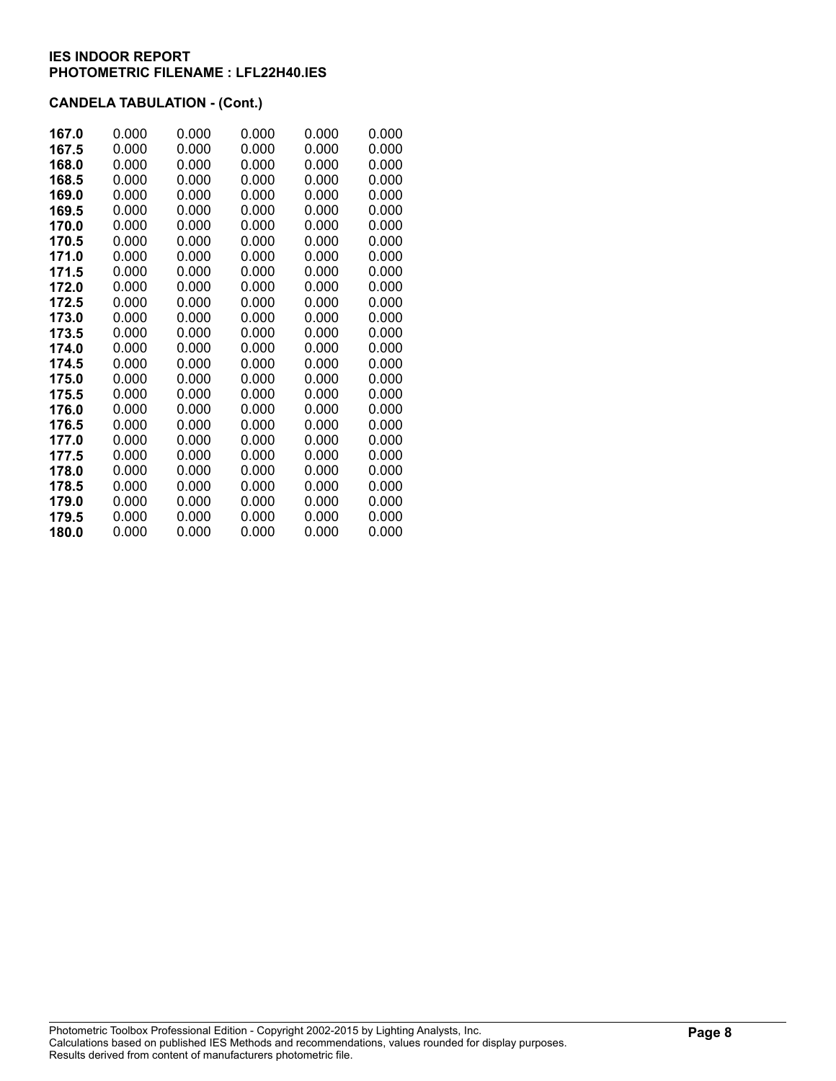| 167.0 | 0.000 | 0.000 | 0.000 | 0.000 | 0.000 |
|-------|-------|-------|-------|-------|-------|
| 167.5 | 0.000 | 0.000 | 0.000 | 0.000 | 0.000 |
| 168.0 | 0.000 | 0.000 | 0.000 | 0.000 | 0.000 |
| 168.5 | 0.000 | 0.000 | 0.000 | 0.000 | 0.000 |
| 169.0 | 0.000 | 0.000 | 0.000 | 0.000 | 0.000 |
| 169.5 | 0.000 | 0.000 | 0.000 | 0.000 | 0.000 |
| 170.0 | 0.000 | 0.000 | 0.000 | 0.000 | 0.000 |
| 170.5 | 0.000 | 0.000 | 0.000 | 0.000 | 0.000 |
| 171.0 | 0.000 | 0.000 | 0.000 | 0.000 | 0.000 |
| 171.5 | 0.000 | 0.000 | 0.000 | 0.000 | 0.000 |
| 172.0 | 0.000 | 0.000 | 0.000 | 0.000 | 0.000 |
| 172.5 | 0.000 | 0.000 | 0.000 | 0.000 | 0.000 |
| 173.0 | 0.000 | 0.000 | 0.000 | 0.000 | 0.000 |
| 173.5 | 0.000 | 0.000 | 0.000 | 0.000 | 0.000 |
| 174.0 | 0.000 | 0.000 | 0.000 | 0.000 | 0.000 |
| 174.5 | 0.000 | 0.000 | 0.000 | 0.000 | 0.000 |
| 175.0 | 0.000 | 0.000 | 0.000 | 0.000 | 0.000 |
| 175.5 | 0.000 | 0.000 | 0.000 | 0.000 | 0.000 |
| 176.0 | 0.000 | 0.000 | 0.000 | 0.000 | 0.000 |
| 176.5 | 0.000 | 0.000 | 0.000 | 0.000 | 0.000 |
| 177.0 | 0.000 | 0.000 | 0.000 | 0.000 | 0.000 |
| 177.5 | 0.000 | 0.000 | 0.000 | 0.000 | 0.000 |
| 178.0 | 0.000 | 0.000 | 0.000 | 0.000 | 0.000 |
| 178.5 | 0.000 | 0.000 | 0.000 | 0.000 | 0.000 |
| 179.0 | 0.000 | 0.000 | 0.000 | 0.000 | 0.000 |
| 179.5 | 0.000 | 0.000 | 0.000 | 0.000 | 0.000 |
| 180.0 | 0.000 | 0.000 | 0.000 | 0.000 | 0.000 |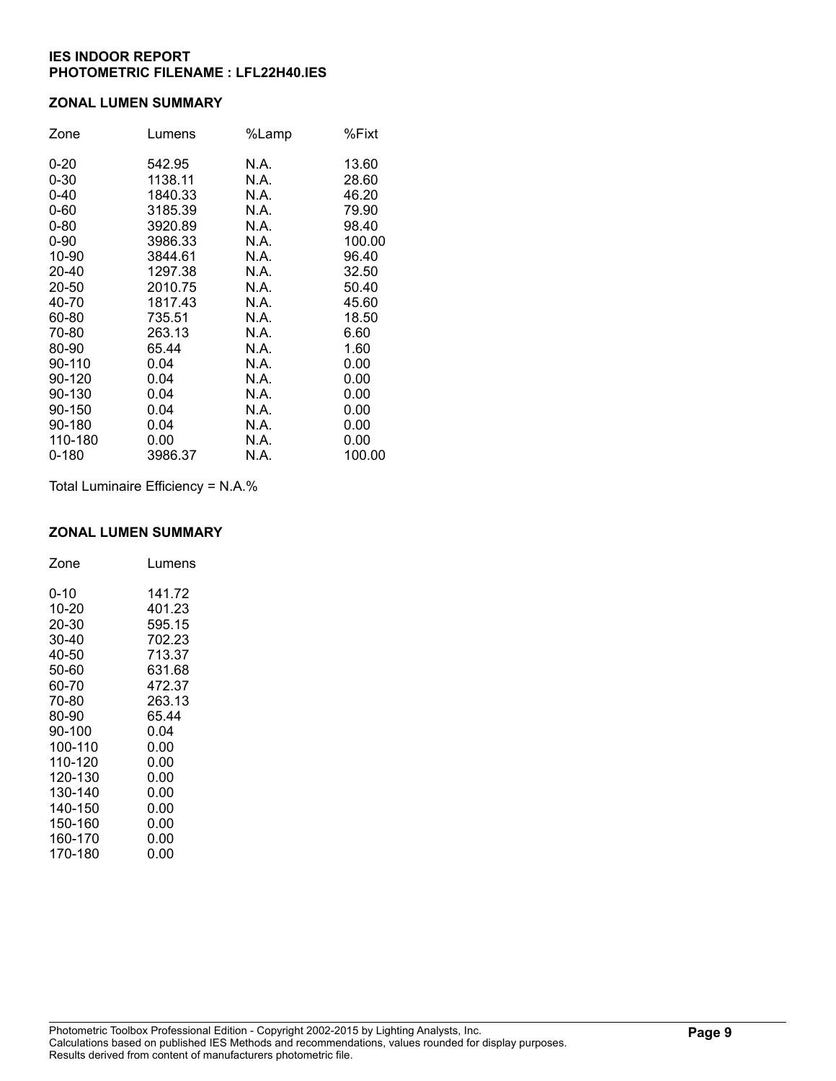### **ZONAL LUMEN SUMMARY**

| Zone      | Lumens  | %Lamp | %Fixt  |
|-----------|---------|-------|--------|
| $0 - 20$  | 542.95  | N.A.  | 13.60  |
| $0 - 30$  | 1138.11 | N.A.  | 28.60  |
| $0 - 40$  | 1840.33 | N.A.  | 46.20  |
| $0 - 60$  | 3185.39 | N.A.  | 79.90  |
| $0 - 80$  | 3920.89 | N.A.  | 98.40  |
| $0 - 90$  | 3986.33 | N.A.  | 100.00 |
| 10-90     | 3844.61 | N.A.  | 96.40  |
| 20-40     | 1297.38 | N.A.  | 32.50  |
| 20-50     | 2010.75 | N.A.  | 50.40  |
| 40-70     | 1817.43 | N.A.  | 45.60  |
| 60-80     | 735.51  | N.A.  | 18.50  |
| 70-80     | 263.13  | N.A.  | 6.60   |
| 80-90     | 65.44   | N.A.  | 1.60   |
| 90-110    | 0.04    | N.A.  | 0.00   |
| 90-120    | 0.04    | N.A.  | 0.00   |
| 90-130    | 0.04    | N.A.  | 0.00   |
| 90-150    | 0.04    | N.A.  | 0.00   |
| 90-180    | 0.04    | N.A.  | 0.00   |
| 110-180   | 0.00    | N.A.  | 0.00   |
| $0 - 180$ | 3986.37 | N.A.  | 100.00 |

Total Luminaire Efficiency = N.A.%

#### **ZONAL LUMEN SUMMARY**

| Zone    | Lumens |
|---------|--------|
| 0-10    | 141.72 |
| 10-20   | 401.23 |
| 20-30   | 595.15 |
| 30-40   | 702.23 |
| 40-50   | 713.37 |
| 50-60   | 631.68 |
| 60-70   | 472.37 |
| 70-80   | 263.13 |
| 80-90   | 65.44  |
| 90-100  | 0.04   |
| 100-110 | 0.00   |
| 110-120 | 0.00   |
| 120-130 | 0.00   |
| 130-140 | 0.00   |
| 140-150 | 0.00   |
| 150-160 | 0.00   |
| 160-170 | 0.00   |
| 170-180 | 0.00   |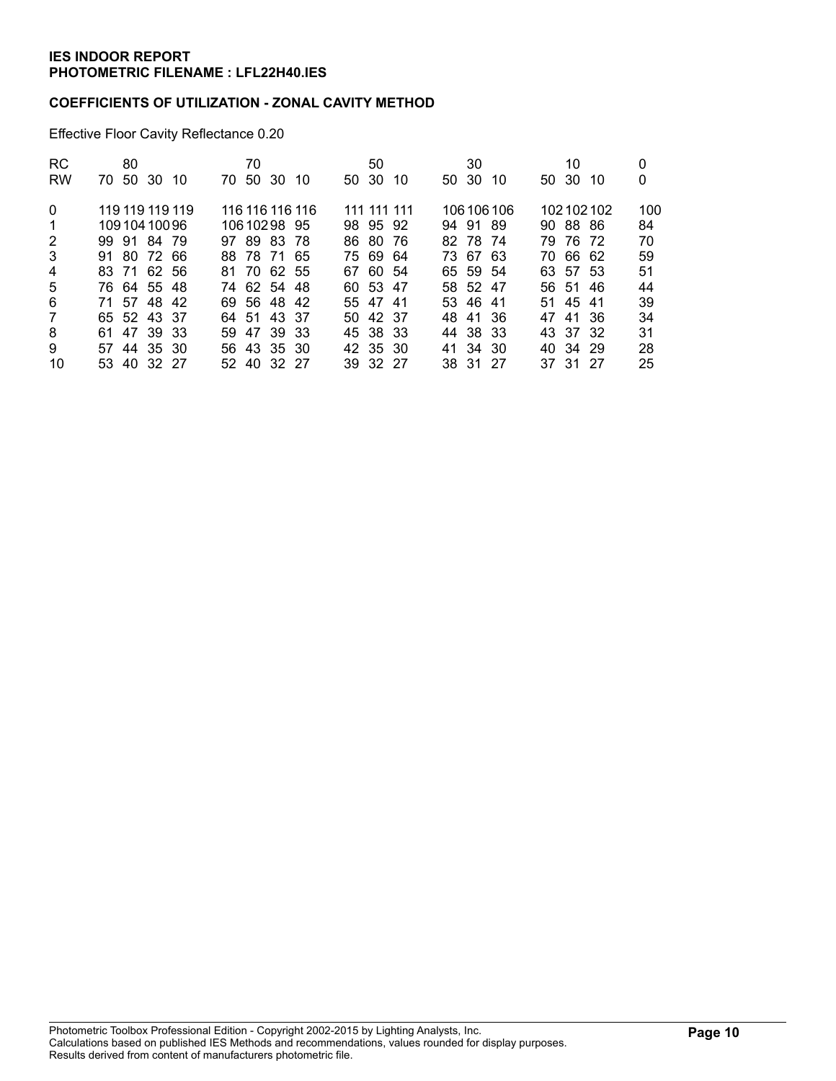### **COEFFICIENTS OF UTILIZATION - ZONAL CAVITY METHOD**

Effective Floor Cavity Reflectance 0.20

| RC.<br><b>RW</b> | 80<br>70 50 30 10 | 70<br>70 50 30 10 | 50<br>50 30 10 | 30<br>50 30 10 | 10<br>50 30 10 | 0<br>0 |
|------------------|-------------------|-------------------|----------------|----------------|----------------|--------|
|                  |                   |                   |                |                |                |        |
| $\Omega$         | 119 119 119 119   | 116 116 116 116   | 111 111 111    | 106 106 106    | 102102102      | 100    |
| 1                | 10910410096       | 10610298 95       | 98 95 92       | 94 91 89       | 90 88 86       | 84     |
| $\overline{2}$   | 99 91 84 79       | 97 89 83 78       | 86 80<br>- 76  | 82 78 74       | 79 76 72       | 70     |
| 3                | 91 80 72 66       | 88 78 71 65       | 75 69 64       | 73 67 63       | 70 66 62       | 59     |
| 4                | 83 71 62 56       | 81 70 62 55       | 67 60 54       | 65 59 54       | 63 57 53       | 51     |
| 5                | 76 64 55 48       | 74 62 54 48       | 60 53 47       | 58 52 47       | 56 51<br>-46   | 44     |
| 6                | 71 57 48 42       | 69 56 48 42       | 55 47 41       | 53 46 41       | 51 45 41       | 39     |
| $\overline{7}$   | 65 52 43 37       | 64 51 43 37       | 50 42 37       | 48 41 36       | 47 41 36       | 34     |
| 8                | 61 47 39 33       | 59 47 39 33       | 45 38 33       | 44 38 33       | 43 37 32       | 31     |
| 9                | 57 44 35 30       | 56 43 35 30       | 42 35 30       | 41 34 30       | 40 34 29       | 28     |
| 10               | 53 40 32 27       | 52 40 32 27       | 39 32 27       | 38 31 27       | 37 31 27       | 25     |